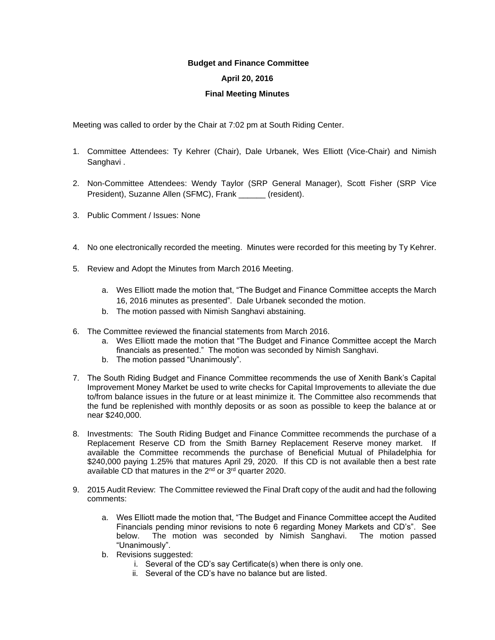## **Budget and Finance Committee**

## **April 20, 2016**

## **Final Meeting Minutes**

Meeting was called to order by the Chair at 7:02 pm at South Riding Center.

- 1. Committee Attendees: Ty Kehrer (Chair), Dale Urbanek, Wes Elliott (Vice-Chair) and Nimish Sanghavi.
- 2. Non-Committee Attendees: Wendy Taylor (SRP General Manager), Scott Fisher (SRP Vice President), Suzanne Allen (SFMC), Frank \_\_\_\_\_\_ (resident).
- 3. Public Comment / Issues: None
- 4. No one electronically recorded the meeting. Minutes were recorded for this meeting by Ty Kehrer.
- 5. Review and Adopt the Minutes from March 2016 Meeting.
	- a. Wes Elliott made the motion that, "The Budget and Finance Committee accepts the March 16, 2016 minutes as presented". Dale Urbanek seconded the motion.
	- b. The motion passed with Nimish Sanghavi abstaining.
- 6. The Committee reviewed the financial statements from March 2016.
	- a. Wes Elliott made the motion that "The Budget and Finance Committee accept the March financials as presented." The motion was seconded by Nimish Sanghavi.
	- b. The motion passed "Unanimously".
- 7. The South Riding Budget and Finance Committee recommends the use of Xenith Bank's Capital Improvement Money Market be used to write checks for Capital Improvements to alleviate the due to/from balance issues in the future or at least minimize it. The Committee also recommends that the fund be replenished with monthly deposits or as soon as possible to keep the balance at or near \$240,000.
- 8. Investments: The South Riding Budget and Finance Committee recommends the purchase of a Replacement Reserve CD from the Smith Barney Replacement Reserve money market. If available the Committee recommends the purchase of Beneficial Mutual of Philadelphia for \$240,000 paying 1.25% that matures April 29, 2020. If this CD is not available then a best rate available CD that matures in the 2nd or 3rd quarter 2020.
- 9. 2015 Audit Review: The Committee reviewed the Final Draft copy of the audit and had the following comments:
	- a. Wes Elliott made the motion that, "The Budget and Finance Committee accept the Audited Financials pending minor revisions to note 6 regarding Money Markets and CD's". See below. The motion was seconded by Nimish Sanghavi. The motion passed "Unanimously".
	- b. Revisions suggested:
		- i. Several of the CD's say Certificate(s) when there is only one.
		- ii. Several of the CD's have no balance but are listed.